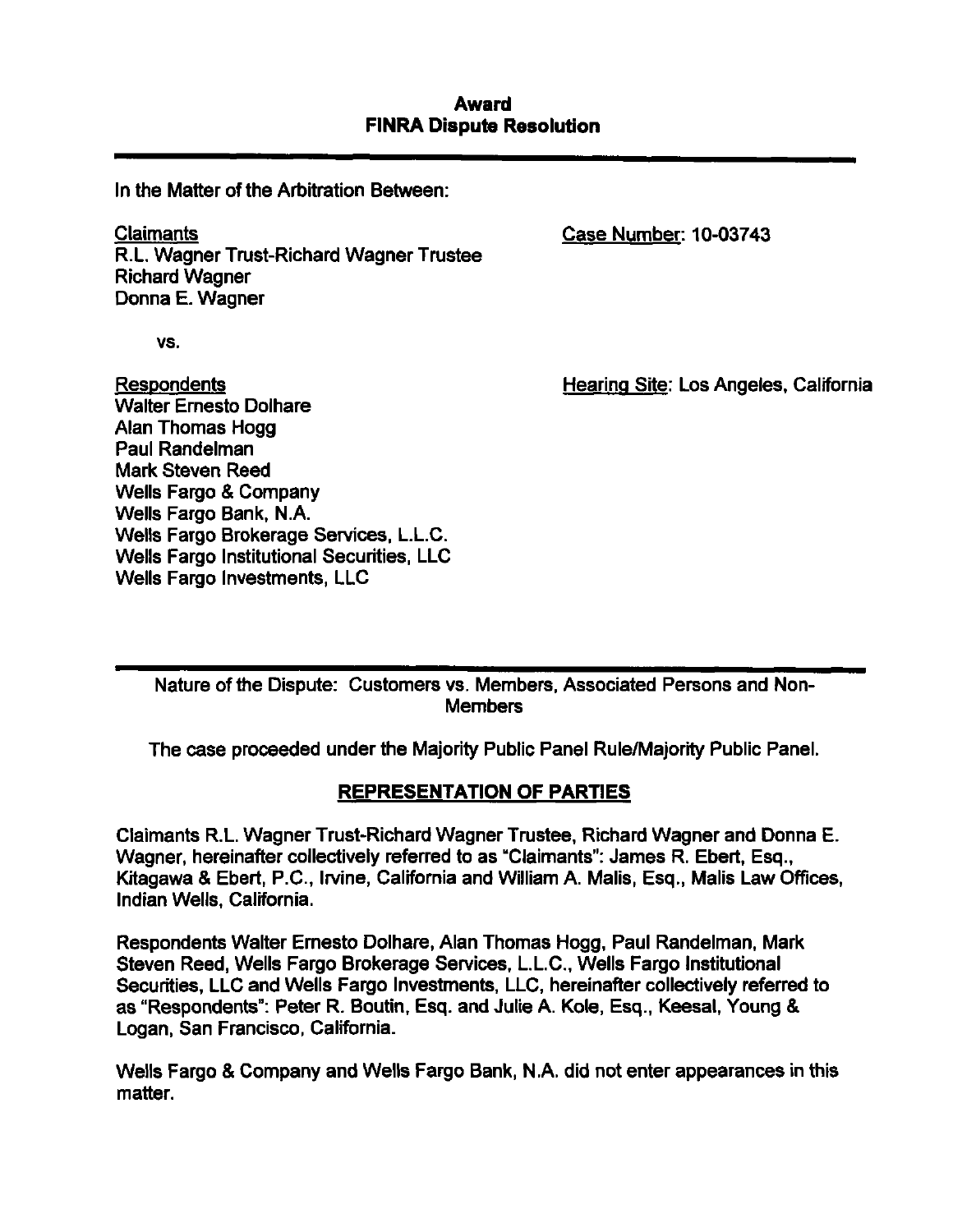### **Award FINRA Dispute Resolution**

In the Matter of the Arbitration Between:

Claimante R.L. Wagner Tmst-Richard Wagner Trustee Richard Wagner Donna E. Wagner

Case Number. 10-03743

vs.

Respondents Walter Ernesto Dolhare Alan Thomas Hogg Paul Randelman Mark Steven Reed Wells Fargo & Company Wells Fargo Bank, N.A. Wells Fargo Brokerage Services, L.L.C. Wells Fargo Institutional Securities, LLC Wells Fargo Investments, LLC

Hearing Site: Los Angeles, California

Nature of the Dispute: Customers vs. Members, Associated Persons and Non-Members

The case proceeded under the Majority Public Panel Rule/Majority Public Panel.

# **REPRESENTATION OF PARTIES**

Claimants R.L. Wagner Trust-Richard Wagner Trustee, Richard Wagner and Donna E. Wagner, hereinafter collectively referred to as "Claimants": James R. Ebert, Esq., Kitagawa & Ebert, P.C, Irvine, California and William A. Mails, Esq., Mails Law Offices, Indian Wells, California.

Respondents Walter Ernesto Dolhare, Alan Thomas Hogg, Paul Randelman, Mark Steven Reed, Wells Fargo Brokerage Services, L.L.C, Wells Fargo Institutional Securities, LLC and Wells Fargo Investments, LLC, hereinafter collectively referred to as "Respondents": Peter R. Boutin, Esq. and Julie A. Kole, Esq., Keesal, Young & Logan, San Francisco, California.

Wells Fargo & Company and Wells Fargo Bank, N.A. did not enter appearances in this matter.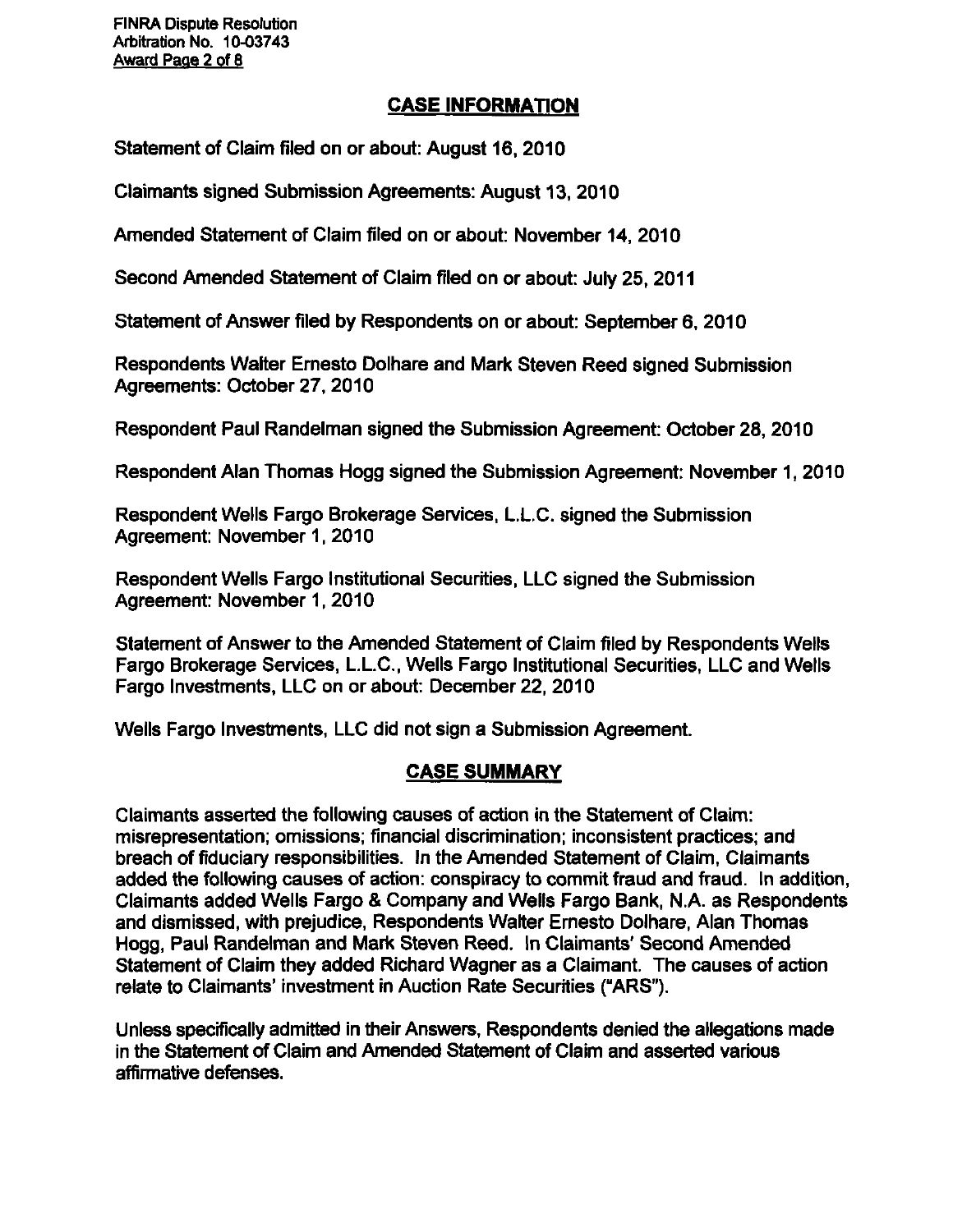FINRA Dispute Resolution Arbitration No. 10-03743 Award Page 2 of 8

# **CASE INFORMATiON**

Statement of Claim filed on or about: August 16, 2010

Claimants signed Submission Agreements: August 13, 2010

Amended Statement of Claim filed on or about: November 14, 2010

Second Amended Statement of Claim filed on or about: July 25, 2011

Statement of Answer filed by Respondents on or about: September 6, 2010

Respondents Walter Ernesto Dolhare and Mark Steven Reed signed Submission Agreements: October 27, 2010

Respondent Paul Randelman signed the Submission Agreement: October 28, 2010

Respondent Alan Thomas Hogg signed the Submission Agreement: November 1, 2010

Respondent Wells Fargo Brokerage Services, L.L.C. signed the Submission Agreement: November 1, 2010

Respondent Wells Fargo Institutional Securities, LLC signed the Submission Agreement: November 1, 2010

Statement of Answer to the Amended Statement of Claim filed by Respondents Wells Fargo Brokerage Sen/ices, L.L.C, Wells Fargo Institutional Securities, LLC and Wells Fargo Investments, LLC on or about: December 22, 2010

Wells Fargo Investments, LLC did not sign a Submission Agreement.

# **CASE SUMMARY**

Claimants asserted the following causes of action in the Statement of Claim: misrepresentation; omissions; financial discrimination; inconsistent practices; and breach of fiduciary responsibilities. In the Amended Stetement of Claim, Claimants added the following causes of action: conspiracy to commit fraud and fraud. In addition. Claimants added Wells Fargo & Company and Wells Fargo Bank, N.A. as Respondents and dismissed, with prejudice. Respondents Walter Ernesto Dolhare, Alan Thomas Hogg, Paul Randelman and Mark Steven Reed. In Claimants' Second Amended Statement of Claim they added Richard Wagner as a Claimant. The causes of action relate to Claimants' investment in Auction Rate Securities ("ARS").

Unless specifically admitted in their Answers, Respondents denied the allegations made in the Statement of Claim and Amended Statement of Claim and asserted various affirmative defenses.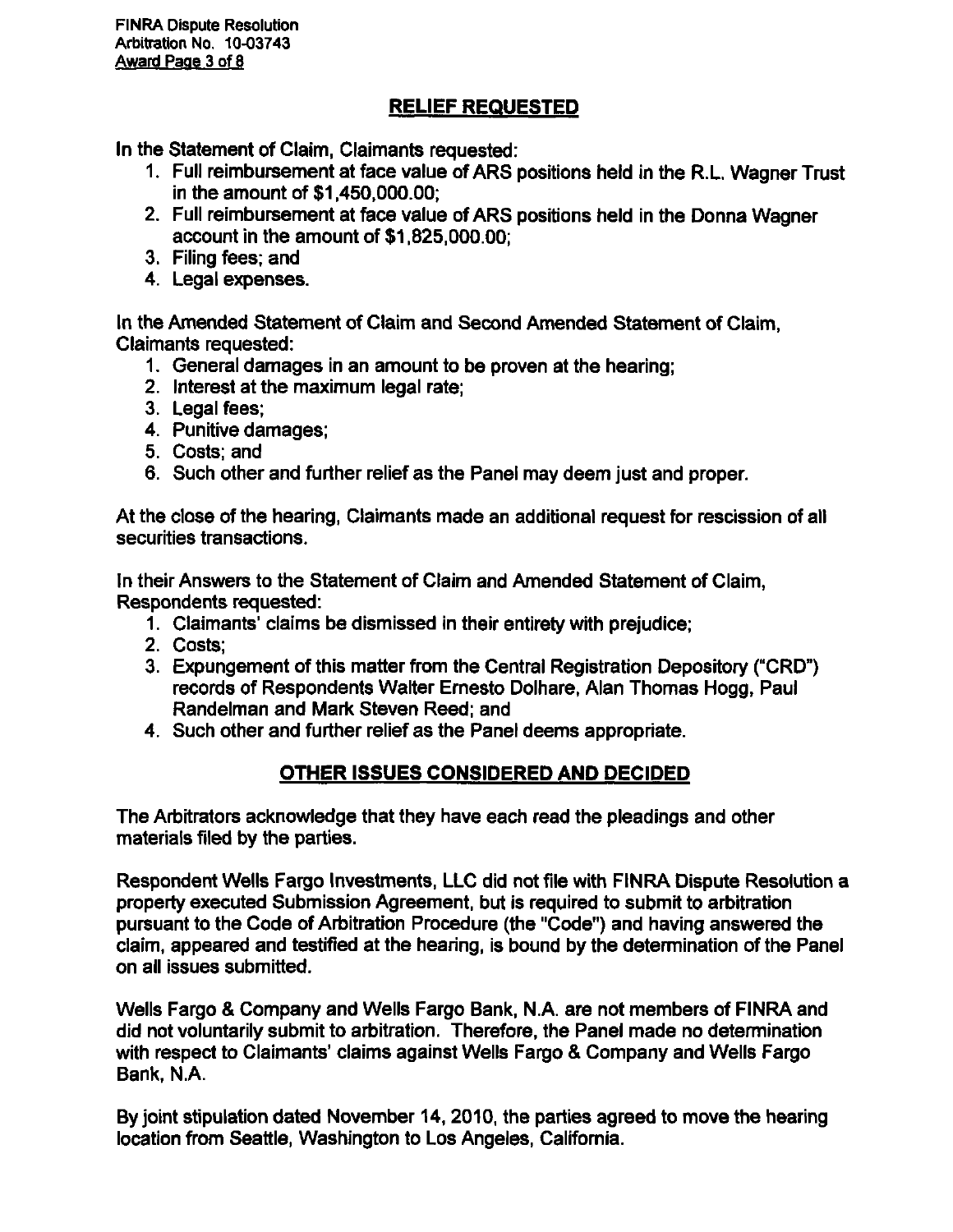# **RELIEF REQUESTED**

In the Statement of Claim, Claimants requested:

- 1. Full reimbursement at face value of ARS positions held in the R.L. Wagner Trust in the amount of \$1,450,000.00;
- 2. Full reimbursement at face value of ARS positions held in the Donna Wagner account in the amount of \$1,825,000.00;
- 3. Filing fees; and
- 4. Legal expenses.

In the Amended Statement of Claim and Second Amended Statement of Claim, Claimants requested:

- 1. General damages in an amount to be proven at the hearing;
- 2. Interest at the maximum legal rate;
- 3. Legal fees;
- 4. Punitive damages;
- 5. Costs; and
- 6. Such other and further relief as the Panel may deem just and proper.

At the close of the hearing. Claimants made an additional request for rescission of all securities transactions.

In their Answers to the Statement of Claim and Amended Statement of Claim, Respondents requested:

- 1. Claimants' claims be dismissed in their entirety with prejudice;
- 2. Costs;
- 3. Expungement of this matter from the Central Registration Depository ("CRD") records of Respondents Walter Ernesto Dolhare, Alan Thomas Hogg, Paul Randelman and Mark Steven Reed; and
- 4. Such other and further relief as the Panel deems appropriate.

# **OTHER ISSUES CONSIDERED AND DECIDED**

The Arbitrators acknowledge that they have each read the pleadings and other materials filed by the parties.

Respondent Wells Fargo Investments, LLC did not file with FINRA Dispute Resolution a property executed Submission Agreement, but is required to submit to arbitration pursuant to the Code of Arbitration Procedure (the "Code") and having answered the claim, appeared and testified at the hearing, is bound by the determination of the Panel on all issues submitted.

Wells Fargo & Company and Wells Fargo Bank, N.A. are not members of FINRA and did not voluntarily submit to arbitration. Therefore, the Panel made no determination with respect to Claimants' claims against Wells Fargo & Company and Wells Fargo Bank, N.A.

By joint stipulation dated November 14, 2010, the parties agreed to move the hearing location from Seattle, Washington to Los Angeles, California.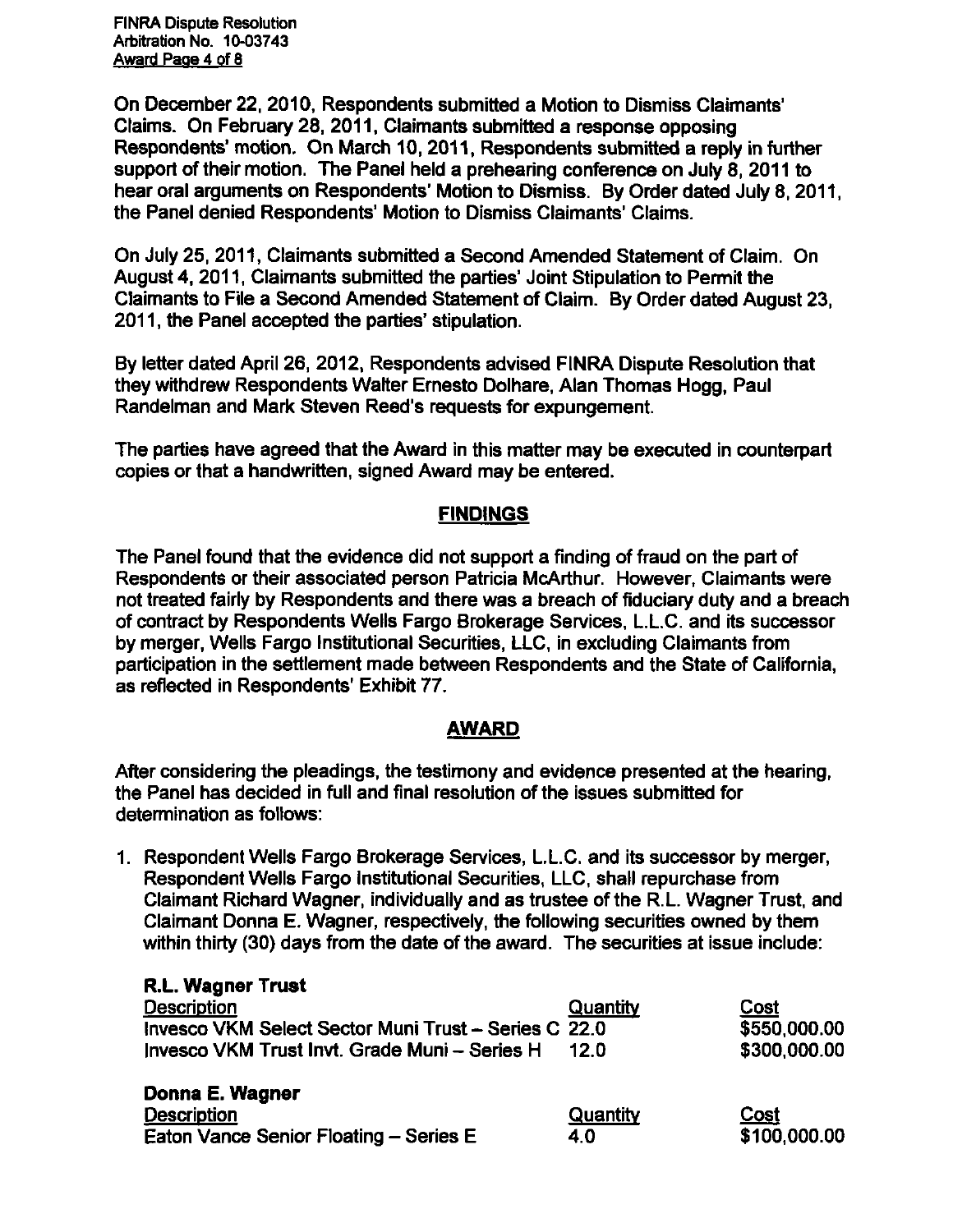FINRA Dispute Resolution Arbitration No. 10-03743 Award Page 4 of 8

On December 22, 2010, Respondents submitted a Motion to Dismiss Claimants' Claims. On February 28, 2011, Claimants submitted a response opposing Respondents' motion. On March 10, 2011, Respondents submitted a reply in further support of their motion. The Panel held a prehearing conference on July 8, 2011 to hear oral arguments on Respondents' Motion to Dismiss. By Order dated July 8, 2011, the Panel denied Respondents' Motion to Dismiss Claimants' Claims.

On July 25, 2011, Claimants submitted a Second Amended Statement of Claim. On August 4, 2011, Claimants submitted the parties' Joint Stipulation to Permit the Claimants to File a Second Amended Statement of Claim. By Order dated August 23, 2011, the Panel accepted the parties' stipulation.

By letter dated April 26, 2012, Respondente advised FINRA Dispute Resolution that they withdrew Respondents Walter Ernesto Dolhare, Alan Thomas Hogg, Paul Randelman and Mark Steven Reed's requeste for expungement.

The parties have agreed that the Award in this matter may be executed in counterpart copies or that a handwritten, signed Award may be entered.

### **FINDINGS**

The Panel found that the evidence did not support a finding of fraud on the part of Respondents or their associated person Patricia McArthur. However, Claimants were not treated fairly by Respondents and there was a breach of fiduciary duty and a breach of contract by Respondents Wells Fargo Brokerage Services, L.L.C. and its successor by merger. Wells Fargo Institutional Securities, LLC, in excluding Claimants from participation in the settlement made between Respondents and the State of California, as refiected in Respondents' Exhibit 77.

#### **AWARD**

After considering the pleadings, the testimony and evidence presented at the hearing, the Panel has decided in full and final resolution of the issues submitted for detennination as follows:

1. Respondent Wells Fargo Brokerage Services, L.L.C. and its successor by merger. Respondent Wells Fargo Institutional Securities, LLC, shall repurchase from Claimant Richard Wagner, individually and as trustee of the R.L. Wagner Trust, and Claimant Donna E. Wagner, respectively, the following securities owned by them within thirty (30) days from the date of the award. The securities at issue include:

| <b>R.L. Wagner Trust</b>                             |          |              |
|------------------------------------------------------|----------|--------------|
| Description                                          | Quantity | Cost         |
| Invesco VKM Select Sector Muni Trust - Series C 22.0 |          | \$550,000.00 |
| Invesco VKM Trust Invt. Grade Muni - Series H        | 12 O     | \$300,000.00 |
| Donna E. Wagner                                      |          |              |
| <b>Description</b>                                   | Quantity | Cost         |
| Eaton Vance Senior Floating - Series E               | 4.0      | \$100,000.00 |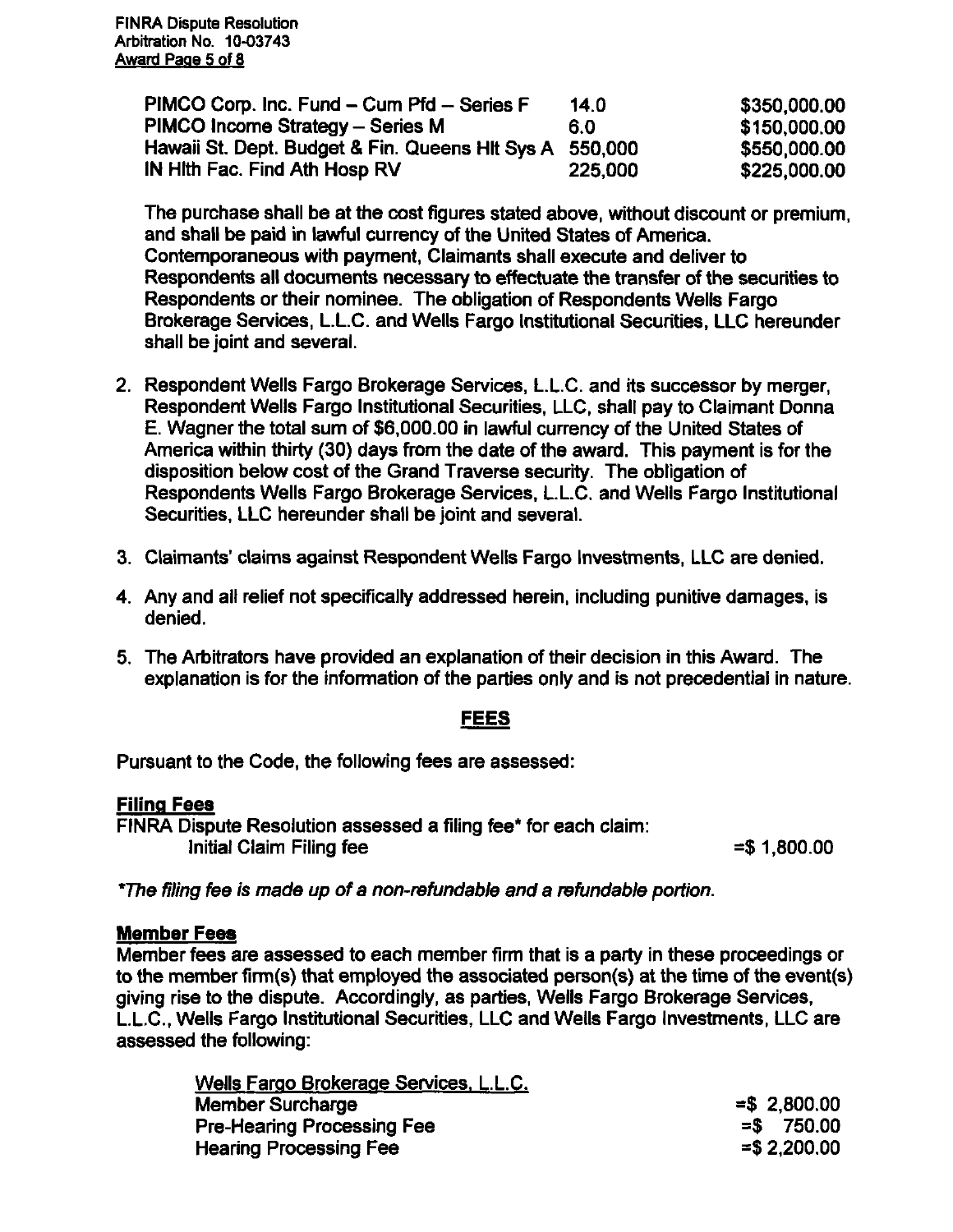| PIMCO Corp. Inc. Fund – Cum Pfd – Series F              | 14.0    | \$350,000.00 |
|---------------------------------------------------------|---------|--------------|
| PIMCO Income Strategy - Series M                        | 6.0     | \$150,000.00 |
| Hawaii St. Dept. Budget & Fin. Queens Hit Sys A 550,000 |         | \$550,000.00 |
| IN Hith Fac. Find Ath Hosp RV                           | 225,000 | \$225,000.00 |

The purchase shall be at the cost figures stated above, without discount or premium, and shall be paid in lawful currency of the United States of America. Contemporaneous with payment. Claimants shall execute and deliver to Respondents all documents necessary to effectuate the transfer of the securities to Respondents or their nominee. The obligation of Respondents Wells Fargo Brokerage Services, L.L.C. and Wells Fargo Institutional Securities, LLC hereunder shall be joint and several.

- 2. Respondent Wells Fargo Brokerage Services, L.L.C. and its successor by merger. Respondent Wells Fargo Institutional Securities, LLC, shall pay to Claimant Donna E. Wagner the total sum of \$6,000.00 in lawful currency of the United States of America within thirty (30) days from the date of the award. This payment is for the disposition below cost of the Grand Traverse security. The obligation of Respondents Wells Fargo Brokerage Services, L.L.C. and Wells Fargo Institutional Securities, LLC hereunder shall be joint and several.
- 3. Claimants' claims against Respondent Wells Fargo Investments, LLC are denied.
- 4. Any and all relief not specifically addressed herein, including punitive damages, is denied.
- 5. The Arbitrators have provided an explanation of their decision in this Award. The explanation is for the information of the parties only and is not precedential in nature.

#### **FEES**

**Pursuant to the Code, the following fees are assessed:** 

#### **Filing**

FINRA Dispute Resolution assessed a filing fee\* for each claim: Initial Claim Filing fee  $= $ 1,800.00$ 

\*The filing fee is made up of a non-refundable and a refundable portion.

#### **Member Fees**

Member fees are assessed to each member firm that is a party in these proceedings or to the member firm(s) that employed the associated person(s) at the time of the event(s) giving rise to the dispute. Accordingly, as parties. Wells Fargo Brokerage Services, L.L.C, Wells Fargo Institutional Securities, LLC and Wells Fargo Investments, LLC are assessed the following:

| Wells Fargo Brokerage Services, L.L.C. |                |
|----------------------------------------|----------------|
| <b>Member Surcharge</b>                | $= $2,800.00$  |
| <b>Pre-Hearing Processing Fee</b>      | $=$ \$750.00   |
| <b>Hearing Processing Fee</b>          | $=$ \$2,200,00 |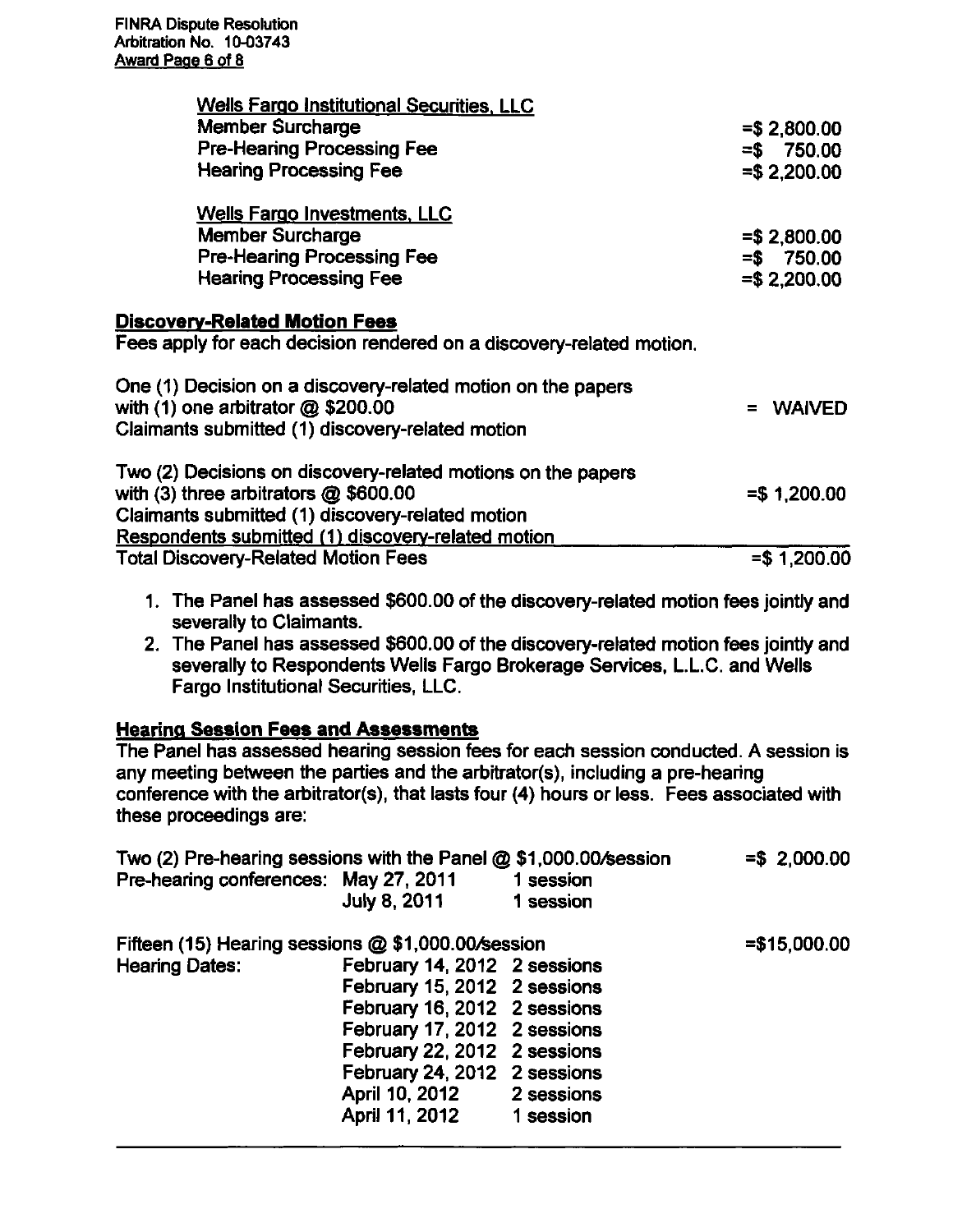| <b>Wells Fargo Institutional Securities, LLC</b>                                                       |               |
|--------------------------------------------------------------------------------------------------------|---------------|
| <b>Member Surcharge</b>                                                                                | $= $2,800.00$ |
| <b>Pre-Hearing Processing Fee</b>                                                                      | $= $750.00$   |
| <b>Hearing Processing Fee</b>                                                                          | $= $2,200.00$ |
| <b>Wells Fargo Investments, LLC</b>                                                                    |               |
| <b>Member Surcharge</b>                                                                                | $= $2,800.00$ |
| <b>Pre-Hearing Processing Fee</b>                                                                      | $= $750.00$   |
| <b>Hearing Processing Fee</b>                                                                          | $= $2,200.00$ |
| <b>Discovery-Related Motion Fees</b>                                                                   |               |
| Fees apply for each decision rendered on a discovery-related motion.                                   |               |
| One (1) Decision on a discovery-related motion on the papers<br>with $(1)$ one arbitrator $@$ \$200.00 | <b>WAIVED</b> |
| Claimants submitted (1) discovery-related motion                                                       |               |
| Two (2) Decisions on discovery-related motions on the papers                                           |               |
| with $(3)$ three arbitrators $@$ \$600.00                                                              | $= $1,200.00$ |
| Claimants submitted (1) discovery-related motion                                                       |               |
| Respondents submitted (1) discovery-related motion                                                     |               |
| <b>Total Discovery-Related Motion Fees</b>                                                             | $= $1,200.00$ |

- 1. The Panel has assessed \$600.00 of the discovery-related motion fees jointly and severally to Claimants.
- 2. The Panel has assessed \$600.00 of the discovery-related motion fees jointly and severally to Respondents Wells Fargo Brokerage Services, L.L.C. and Wells Fargo Institutional Securities, LLC.

# **Hearing Session Fees and Assessments**

The Panel has assessed hearing session fees for each session conducted. A session is any meeting between the parties and the arbitrator(s), including a pre-hearing conference with the arbitrator(s), that lasts four (4) hours or less. Fees associated with these proceedings are:

| Two (2) Pre-hearing sessions with the Panel @ \$1,000.00/session |                              |           | $= $2,000.00$  |
|------------------------------------------------------------------|------------------------------|-----------|----------------|
| Pre-hearing conferences: May 27, 2011                            |                              | 1 session |                |
|                                                                  | <b>July 8, 2011</b>          | 1 session |                |
| Fifteen (15) Hearing sessions @ \$1,000.00/session               |                              |           | $= $15,000.00$ |
| <b>Hearing Dates:</b>                                            | February 14, 2012 2 sessions |           |                |
|                                                                  | February 15, 2012 2 sessions |           |                |
|                                                                  | February 16, 2012 2 sessions |           |                |
|                                                                  | February 17, 2012 2 sessions |           |                |
|                                                                  | February 22, 2012 2 sessions |           |                |
|                                                                  | February 24, 2012 2 sessions |           |                |
|                                                                  | April 10, 2012 2 sessions    |           |                |
|                                                                  | April 11, 2012 1 session     |           |                |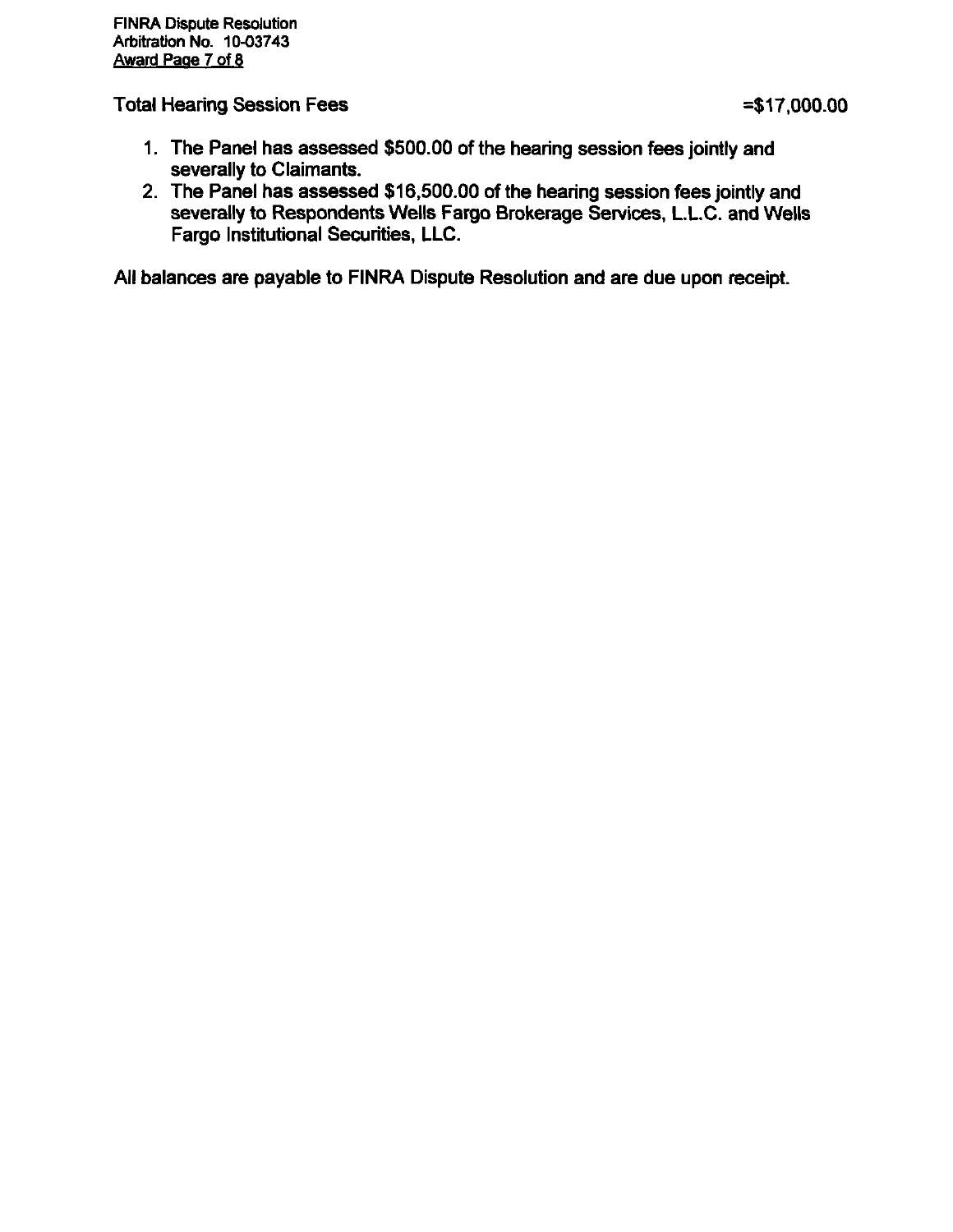Total Hearing Session Fees **Fig. 2001.00 Fig. 2001.00 Fig. 2001.00 Fig. 2001.00** 

- **1. The Panel has assessed \$500.00 of the hearing session fees jointly and severally to Claimante.**
- **2. The Panel has assessed \$16,500.00 of the hearing session fees jointly and severally to Respondents Wells Fargo Brokerage Services, L.L.C. and Wells Fargo Institutional Securities, LLC.**

**All balances are payable to FINRA Dispute Resolution and are due upon receipt.**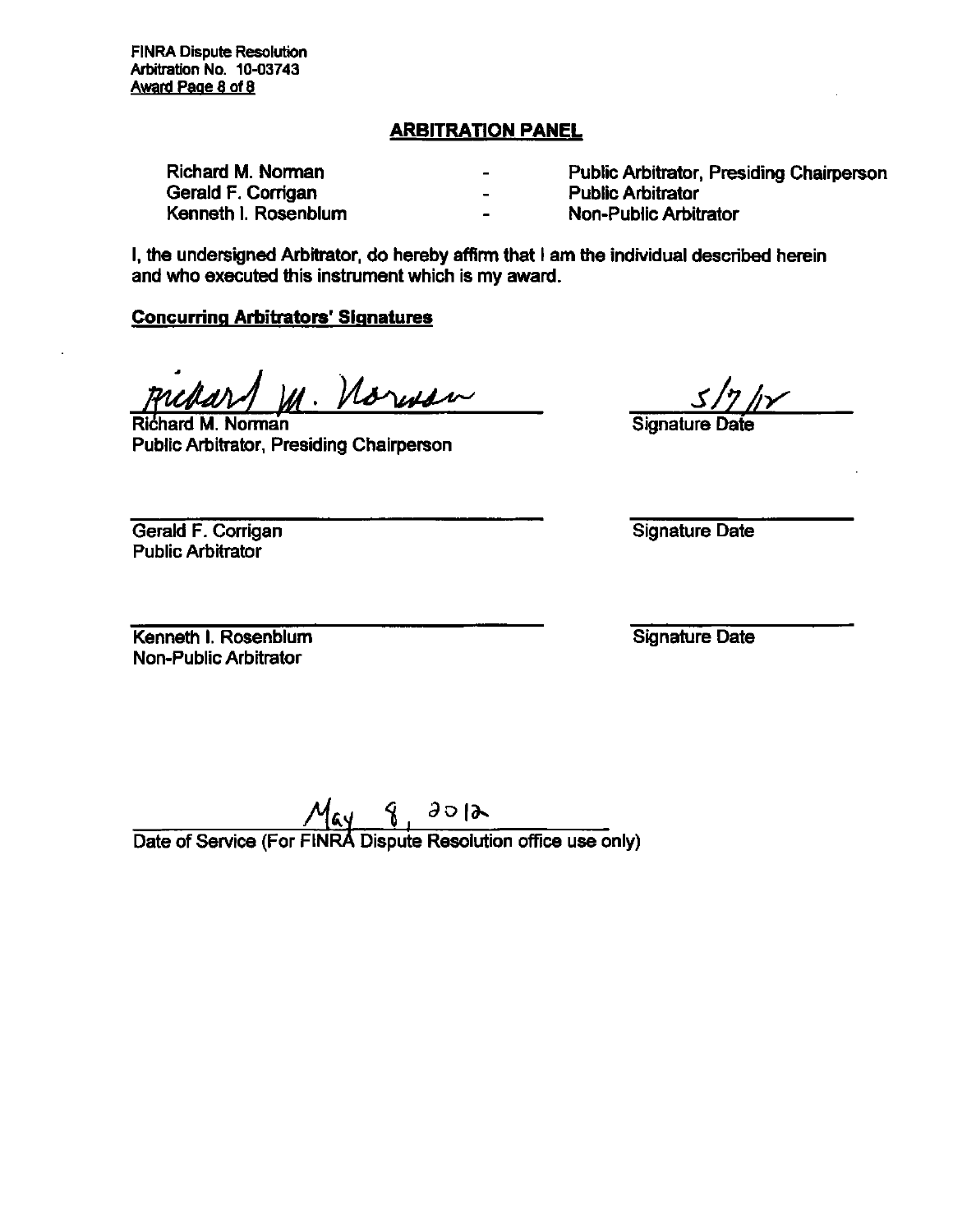#### **ARBITRATION PANEL**

| Richard M. Norman    | $\qquad \qquad$ | Public Arbitrator, Presiding Chairperson |
|----------------------|-----------------|------------------------------------------|
| Gerald F. Corrigan   | $\blacksquare$  | <b>Public Arbitrator</b>                 |
| Kenneth I. Rosenblum | $\blacksquare$  | Non-Public Arbitrator                    |

I, the undersigned Arbitrator, do hereby affirm that I am the individual described herein and who executed this instrument which is my award.

#### **Concurring Arbitrators' Signatures**

Norwan

Richard M. Nonnan Public Arbitrator, Presiding Chairperson

Signature

Gerald F. Corrigan Public Arbitrator

Signature Date

Kenneth I. Rosenblum Non-Public Arbitrator

Signature Date

 $M_{\alpha\gamma}$   $\gamma$   $\partial \partial \lambda$ <br>Date of Service (For FINRA Dispute Resolution office use only)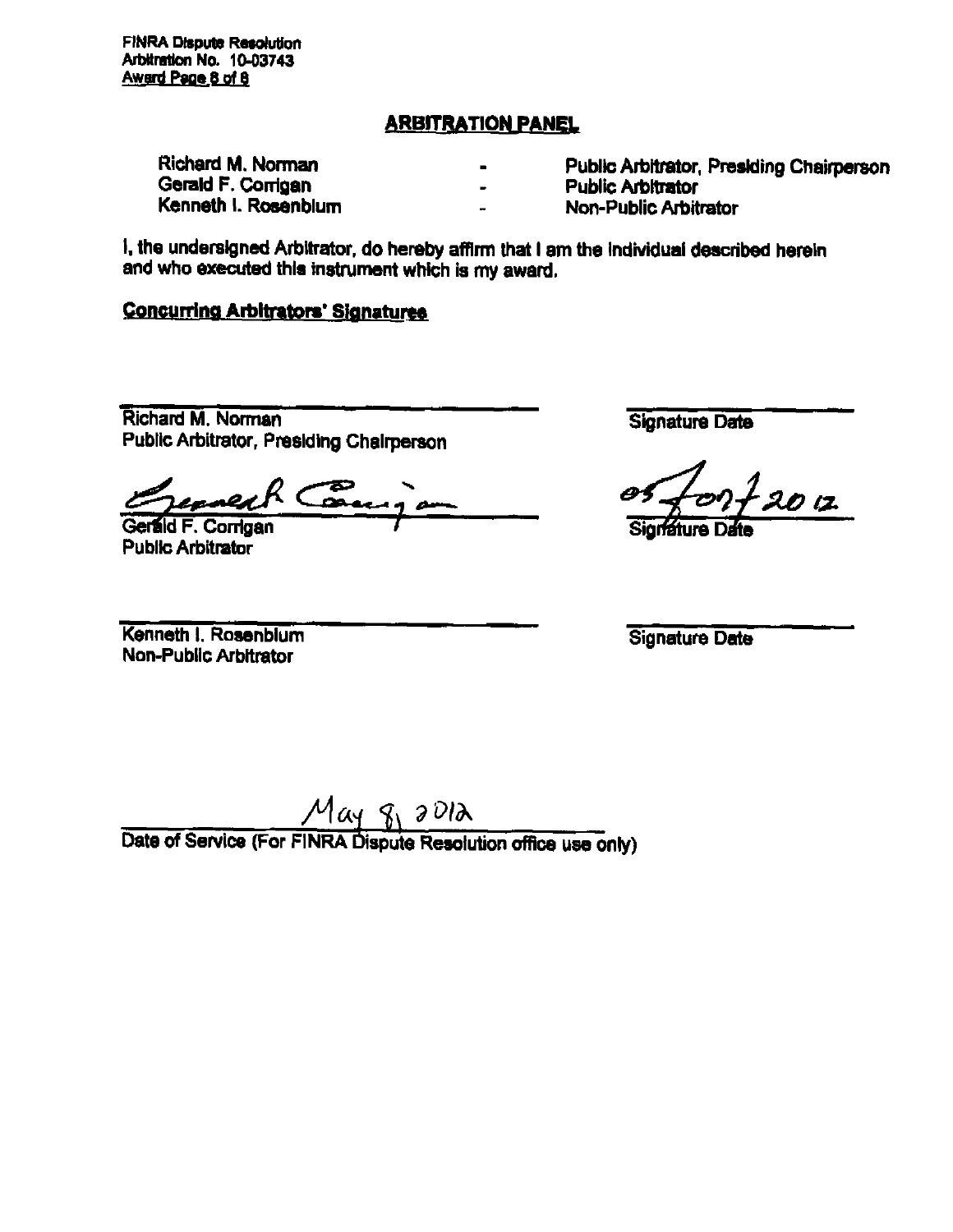**FINRA Dispute Resolution Arbitration No. 10-03743 Award Pace B of 9** 

# **ARBITRATION PANEL**

| Richard M. Norman    |                | Public Arbitrator, Presiding Chairperson |
|----------------------|----------------|------------------------------------------|
| Gerald F. Corrigan   | $\blacksquare$ | <b>Public Arbitrator</b>                 |
| Kenneth I. Rosenblum | $\blacksquare$ | <b>Non-Public Arbitrator</b>             |

**I, the undersigned Arbitrator, do hereby affirni that I am the individual described herein**  and who executed this instrument which is my award.

# **Concurring Arbitrators' Signatures**

**Richard M. Norman Public Artiitrator, Presiding Chairperson** 

**Gerald F. Corrigan Public Arbitrator** 

**Signature Date** 

 $2720.12$ 

**Kenneth 1. Rosenblum Non-Public Arbitrator** 

**Signature Date** 

**Date of Service (For FINRA Dispute Resolution office use only)**